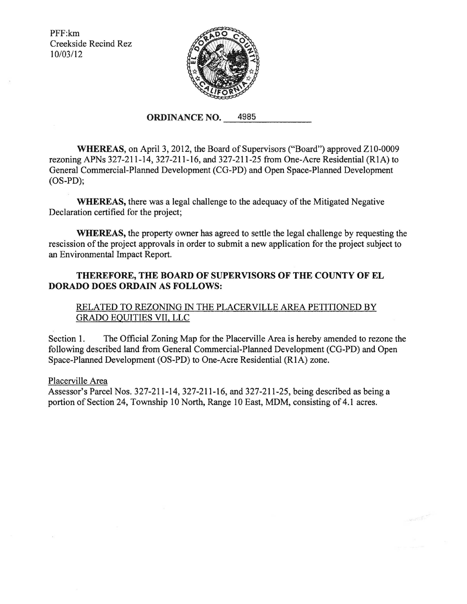PFF:km Creekside Recind Rez I0/03/I2



## **ORDINANCE NO. 4985**

**WHEREAS,** on April 3, 20I2, the Board of Supervisors ("Board") approved ZI0-0009 rezoning APNs 327-2II-I4, 327-21I-I6, and 327-211-25 from One-Acre Residential (RIA) to General Commercial-Planned Development (CG-PD) and Open Space-Planned Development (OS-PD);

**WHEREAS,** there was a legal challenge to the adequacy of the Mitigated Negative Declaration certified for the project;

**WHEREAS,** the property owner has agreed to settle the legal challenge by requesting the rescission of the project approvals in order to submit a new application for the project subject to an Environmental Impact Report.

## **THEREFORE, THE BOARD OF SUPERVISORS OF THE COUNTY OF EL DORADO DOES ORDAIN AS FOLLOWS:**

## RELATED TO REZONING IN THE PLACERVILLE AREA PETITIONED BY GRADO EQUITIES VII, LLC

Section I. The Official Zoning Map for the Placerville Area is hereby amended to rezone the following described land from General Commercial-Planned Development (CG-PD) and Open Space-Planned Development (OS-PD) to One-Acre Residential (RIA) zone.

### Placerville Area

Assessor's Parcel Nos. 327-2II-I4, 327-2II-I6, and 327-2II-25, being described as being a portion of Section 24, Township 10 North, Range 10 East, MDM, consisting of 4.1 acres.